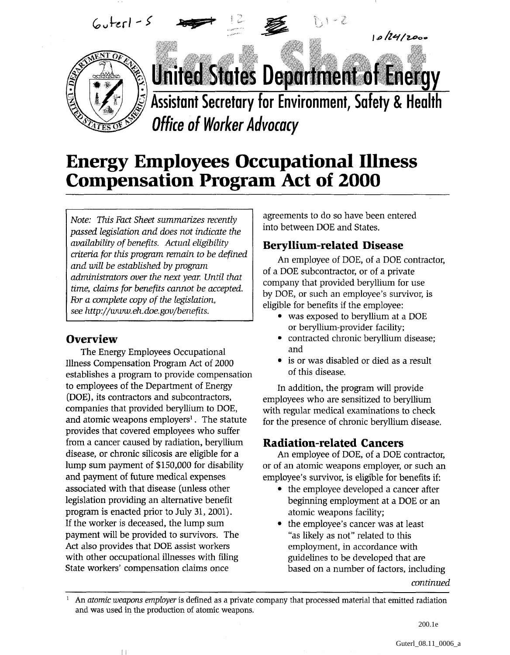

 $6$ uterl -  $5$ 



## **Energy Employees Occupational Illness Compensation Program Act of 2000**

*Note: This Fact Sheet summarizes recently passed legislation and does not indicate the availability of benefits. Actual eligibility criteria for this program remain to be defined and will be established by program administrators over the next year. Until that time, claims for benefits cannot be accepted. For a complete copy of the legislation, see http://www.eh.doe.gov/benefits.*

#### **Overview**

The Energy Employees Occupational Illness Compensation Program Act of 2000 establishes a program to provide compensation to employees of the Department of Energy (DOE), its contractors and subcontractors, companies that provided beryllium to DOE, and atomic weapons employers<sup>1</sup>. The statute provides that covered employees who suffer from a cancer caused by radiation, beryllium disease, or chronic silicosis are eligible for a lump sum payment of \$150,000 for disability and payment of future medical expenses associated with that disease (unless other legislation providing an alternative benefit program is enacted prior to July 31, 2001). If the worker is deceased, the lump sum payment will be provided to survivors. The Act also provides that DOE assist workers with other occupational illnesses with filing State workers' compensation claims once

 $\mathbb{I}$ 

agreements to do so have been entered into between DOE and States.

## Beryllium-related Disease

An employee of DOE, of a DOE contractor, of a DOE subcontractor, or of a private company that provided beryllium for use by DOE, or such an employee's survivor, is eligible for benefits if the employee:

 $10124/2000$ 

- was exposed to beryllium at a DOE or beryllium-provider facility;
- contracted chronic beryllium disease; and
- is or was disabled or died as a result of this disease.

In addition, the program will provide employees who are sensitized to beryllium with regular medical examinations to check for the presence of chronic beryllium disease.

## Radiation-related Cancers

An employee of DOE, of a DOE contractor, or of an atomic weapons employer, or such an employee's survivor, is eligible for benefits if:

- the employee developed a cancer after beginning employment at a DOE or an atomic weapons facility;
- the employee's cancer was at least "as likely as not" related to this employment, in accordance with guidelines to be developed that are based on a number of factors, including

*continued*

1 An *atomic weapons employer* is defined as a private company that processed material that emitted radiation and was used in the production of atomic weapons.